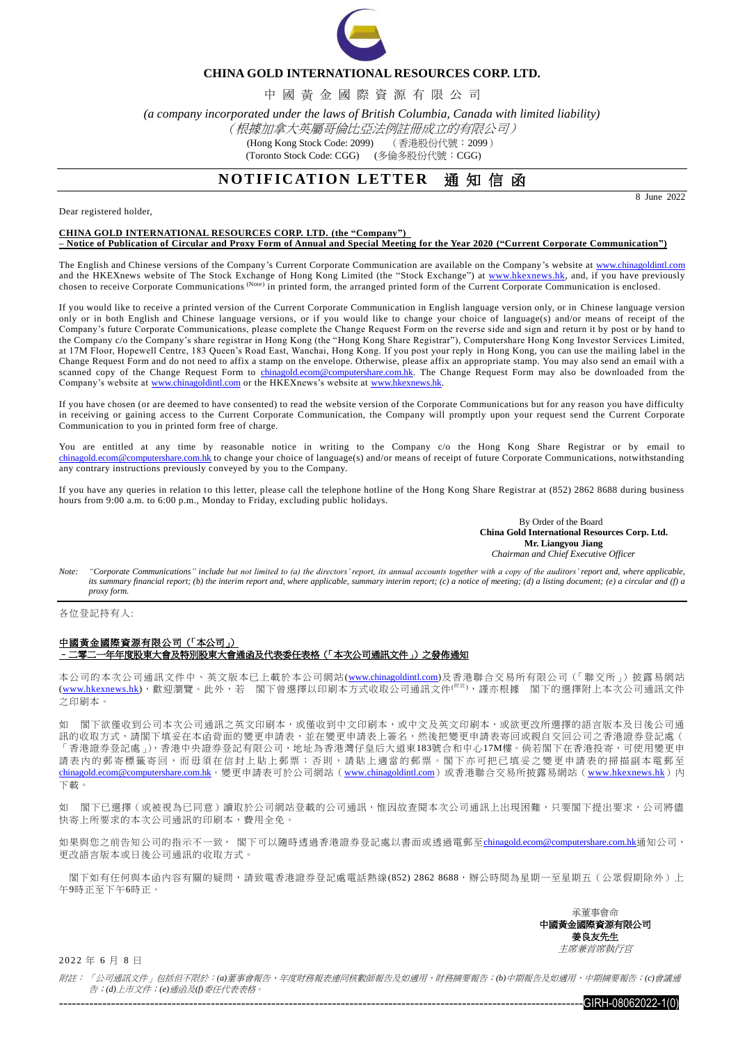

### **CHINA GOLD INTERNATIONAL RESOURCES CORP. LTD.**

中 國 黃 金 國 際 資 源 有 限 公 司

*(a company incorporated under the laws of British Columbia, Canada with limited liability)*

(根據加拿大英屬哥倫比亞法例註冊成立的有限公司)

(Hong Kong Stock Code: 2099) (香港股份代號:2099)

(Toronto Stock Code: CGG) (多倫多股份代號: CGG)

# **NOTIFICATION LETTER 通知信函**

8 June 2022

### Dear registered holder,

### **CHINA GOLD INTERNATIONAL RESOURCES CORP. LTD. (the "Company")**

**– Notice of Publication of Circular and Proxy Form of Annual and Special Meeting for the Year 2020 ("Current Corporate Communication")**

The English and Chinese versions of the Company's Current Corporate Communication are available on the Company's website at [www.chinagoldintl.com](http://www.chinagoldintl.com/) and the HKEXnews website of The Stock Exchange of Hong Kong Limited (the "Stock Exchange") at [www.hkexnews.hk,](http://www.hkexnews.hk/index.htm) and, if you have previously chosen to receive Corporate Communications (Note) in printed form, the arranged printed form of the Current Corporate Communication is enclosed.

If you would like to receive a printed version of the Current Corporate Communication in English language version only, or in Chinese language version only or in both English and Chinese language versions, or if you would like to change your choice of language(s) and/or means of receipt of the Company's future Corporate Communications, please complete the Change Request Form on the reverse side and sign and return it by post or by hand to the Company c/o the Company's share registrar in Hong Kong (the "Hong Kong Share Registrar"), Computershare Hong Kong Investor Services Limited, at 17M Floor, Hopewell Centre, 183 Queen's Road East, Wanchai, Hong Kong. If you post your reply in Hong Kong, you can use the mailing label in the Change Request Form and do not need to affix a stamp on the envelope. Otherwise, please affix an appropriate stamp. You may also send an email with a scanned copy of the Change Request Form to [chinagold.ecom@computershare.com.hk.](mailto:chinagold.ecom@computershare.com.hk) The Change Request Form may also be downloaded from the Company's website at [www.chinagoldintl.com](http://www.chinagoldintl.com/) or the HKEXnews's website at www.hkexnews.hk.

If you have chosen (or are deemed to have consented) to read the website version of the Corporate Communications but for any reason you have difficulty in receiving or gaining access to the Current Corporate Communication, the Company will promptly upon your request send the Current Corporate Communication to you in printed form free of charge.

You are entitled at any time by reasonable notice in writing to the Company c/o the Hong Kong Share Registrar or by email to [chinagold.ecom@computershare.com.hk](mailto:chinagold.ecom@computershare.com.hk) to change your choice of language(s) and/or means of receipt of future Corporate Communications, notwithstanding any contrary instructions previously conveyed by you to the Company.

If you have any queries in relation to this letter, please call the telephone hotline of the Hong Kong Share Registrar at (852) 2862 8688 during business hours from 9:00 a.m. to 6:00 p.m., Monday to Friday, excluding public holidays.

> By Order of the Board **China Gold International Resources Corp. Ltd. Mr. Liangyou Jiang** *Chairman and Chief Executive Officer*

*Note: "Corporate Communications" include but not limited to (a) the directors' report, its annual accounts together with a copy of the auditors' report and, where applicable, its summary financial report; (b) the interim report and, where applicable, summary interim report; (c) a notice of meeting; (d) a listing document; (e) a circular and (f) a proxy form.*

各位登記持有人:

#### 中國黃金國際資源有限公司(「本公司」) –二零二一年年度股東大會及特別股東大會通函及代表委任表格(「本次公司通訊文件」)之發佈通知

本公司的本次公司通訊文件中、英文版本已上載於本公司網站[\(www.chinagoldintl.com\)](http://www.chinagoldintl.com/)及香港聯合交易所有限公司(「聯交所」)披露易網站 [\(www.hkexnews.hk\)](http://www.hkexnews.hk/index.htm),歡迎瀏覽。此外,若 閣下曾選擇以印刷本方式收取公司通訊文件(<sup>W注),</sup>謹亦根據 閣下的選擇附上本次公司通訊文件 之印刷本。

如 閣下欲僅收到公司本次公司通訊之英文印刷本,或僅收到中文印刷本,或中文及英文印刷本,或欲更改所選擇的語言版本及日後公司通 訊的收取方式,請閣下填妥在本函背面的變更申請表,並在變更申請表上簽名,然後把變更申請表寄回或親自交回公司之香港證券登記處( 「香港證券登記處」),香港中央證券登記有限公司,地址為香港灣仔皇后大道東183號合和中心17M樓。倘若閣下在香港投寄,可使用變更申 請表內的郵寄標籤寄回,而毋須在信封上貼上郵票;否則,請貼上適當的郵票。閣下亦可把已填妥之變更申請表的掃描副本電郵至 [chinagold.ecom@computershare.com.hk](mailto:chinagold.ecom@computershare.com.hk)。變更申請表可於公司網站([www.chinagoldintl.com](http://www.chinagoldintl.com/))或香港聯合交易所披露易網站([www.hkexnews.hk](http://www.hkexnews.hk/index.htm))內 下載。

如 閣下已選擇(或被視為已同意)讀取於公司網站登載的公司通訊,惟因故查閱本次公司通訊上出現困難,只要閣下提出要求,公司將儘 快寄上所要求的本次公司通訊的印刷本,費用全免。

如果與您之前告知公司的指示不一致, 閣下可以隨時透過香港證券登記處以書面或透過電郵至[chinagold.ecom@computershare.com.hk](mailto:chinagold.ecom@computershare.com.hk)通知公司, 更改語言版本或日後公司通訊的收取方式。

閣下如有任何與本函內容有關的疑問,請致電香港證券登記處電話熱線(852) 2862 8688,辦公時間為星期一至星期五(公眾假期除外)上 午9時正至下午6時正。

> 承董事會命 中國黃金國際資源有限公司 姜良友先生 主席兼首席執行官

2 0 22 年 6 月 8 日

附註: 「公司通訊文件」包括但不限於:*(a)*董事會報告、年度財務報表連同核數師報告及如適用,財務摘要報告;*(b)*中期報告及如適用,中期摘要報告;*(c)*會議通 告;*(d)*上市文件;*(e)*通函及*(f)*委任代表表格。